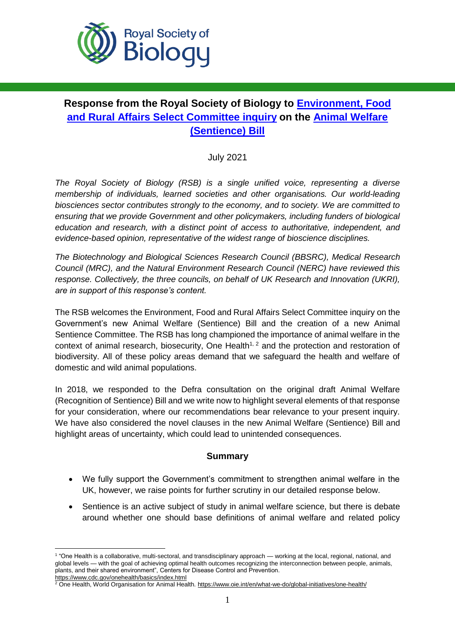

# **Response from the Royal Society of Biology to [Environment, Food](https://committees.parliament.uk/work/1274/)  [and Rural Affairs Select Committee inquiry](https://committees.parliament.uk/work/1274/) on the [Animal Welfare](https://bills.parliament.uk/bills/2867)  [\(Sentience\) Bill](https://bills.parliament.uk/bills/2867)**

July 2021

*The Royal Society of Biology (RSB) is a single unified voice, representing a diverse membership of individuals, learned societies and other organisations. Our world-leading biosciences sector contributes strongly to the economy, and to society. We are committed to ensuring that we provide Government and other policymakers, including funders of biological education and research, with a distinct point of access to authoritative, independent, and evidence-based opinion, representative of the widest range of bioscience disciplines.* 

*The Biotechnology and Biological Sciences Research Council (BBSRC), Medical Research Council (MRC), and the Natural Environment Research Council (NERC) have reviewed this response. Collectively, the three councils, on behalf of UK Research and Innovation (UKRI), are in support of this response's content.*

The RSB welcomes the Environment, Food and Rural Affairs Select Committee inquiry on the Government's new Animal Welfare (Sentience) Bill and the creation of a new Animal Sentience Committee. The RSB has long championed the importance of animal welfare in the context of animal research, biosecurity, One Health<sup>1, 2</sup> and the protection and restoration of biodiversity. All of these policy areas demand that we safeguard the health and welfare of domestic and wild animal populations.

In 2018, we responded to the Defra consultation on the original draft Animal Welfare (Recognition of Sentience) Bill and we write now to highlight several elements of that response for your consideration, where our recommendations bear relevance to your present inquiry. We have also considered the novel clauses in the new Animal Welfare (Sentience) Bill and highlight areas of uncertainty, which could lead to unintended consequences.

# **Summary**

- We fully support the Government's commitment to strengthen animal welfare in the UK, however, we raise points for further scrutiny in our detailed response below.
- Sentience is an active subject of study in animal welfare science, but there is debate around whether one should base definitions of animal welfare and related policy

 1 "One Health is a collaborative, multi-sectoral, and transdisciplinary approach — working at the local, regional, national, and global levels — with the goal of achieving optimal health outcomes recognizing the interconnection between people, animals, plants, and their shared environment", Centers for Disease Control and Prevention. <https://www.cdc.gov/onehealth/basics/index.html>

<sup>&</sup>lt;sup>2</sup> One Health, World Organisation for Animal Health[. https://www.oie.int/en/what-we-do/global-initiatives/one-health/](https://www.oie.int/en/what-we-do/global-initiatives/one-health/)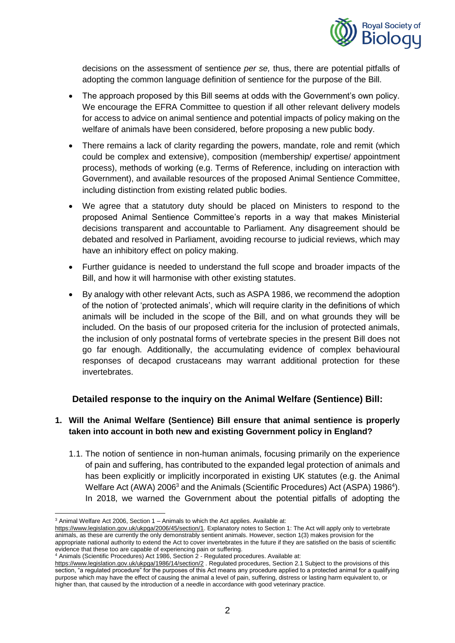

decisions on the assessment of sentience *per se,* thus, there are potential pitfalls of adopting the common language definition of sentience for the purpose of the Bill.

- The approach proposed by this Bill seems at odds with the Government's own policy. We encourage the EFRA Committee to question if all other relevant delivery models for access to advice on animal sentience and potential impacts of policy making on the welfare of animals have been considered, before proposing a new public body.
- There remains a lack of clarity regarding the powers, mandate, role and remit (which could be complex and extensive), composition (membership/ expertise/ appointment process), methods of working (e.g. Terms of Reference, including on interaction with Government), and available resources of the proposed Animal Sentience Committee, including distinction from existing related public bodies.
- We agree that a statutory duty should be placed on Ministers to respond to the proposed Animal Sentience Committee's reports in a way that makes Ministerial decisions transparent and accountable to Parliament. Any disagreement should be debated and resolved in Parliament, avoiding recourse to judicial reviews, which may have an inhibitory effect on policy making.
- Further guidance is needed to understand the full scope and broader impacts of the Bill, and how it will harmonise with other existing statutes.
- By analogy with other relevant Acts, such as ASPA 1986, we recommend the adoption of the notion of 'protected animals', which will require clarity in the definitions of which animals will be included in the scope of the Bill, and on what grounds they will be included. On the basis of our proposed criteria for the inclusion of protected animals, the inclusion of only postnatal forms of vertebrate species in the present Bill does not go far enough. Additionally, the accumulating evidence of complex behavioural responses of decapod crustaceans may warrant additional protection for these invertebrates.

# **Detailed response to the inquiry on the Animal Welfare (Sentience) Bill:**

# **1. Will the Animal Welfare (Sentience) Bill ensure that animal sentience is properly taken into account in both new and existing Government policy in England?**

1.1. The notion of sentience in non-human animals, focusing primarily on the experience of pain and suffering, has contributed to the expanded legal protection of animals and has been explicitly or implicitly incorporated in existing UK statutes (e.g. the Animal Welfare Act (AWA) 2006<sup>3</sup> and the Animals (Scientific Procedures) Act (ASPA) 1986<sup>4</sup>). In 2018, we warned the Government about the potential pitfalls of adopting the

 $\overline{a}$  $3$  Animal Welfare Act 2006, Section 1 – Animals to which the Act applies. Available at:

[https://www.legislation.gov.uk/ukpga/2006/45/section/1.](https://www.legislation.gov.uk/ukpga/2006/45/section/1) Explanatory notes to Section 1: The Act will apply only to vertebrate animals, as these are currently the only demonstrably sentient animals. However, section 1(3) makes provision for the appropriate national authority to extend the Act to cover invertebrates in the future if they are satisfied on the basis of scientific evidence that these too are capable of experiencing pain or suffering.

<sup>4</sup> Animals (Scientific Procedures) Act 1986, Section 2 - Regulated procedures. Available at:

<https://www.legislation.gov.uk/ukpga/1986/14/section/2> . Regulated procedures, Section 2.1 Subject to the provisions of this section, "a regulated procedure" for the purposes of this Act means any procedure applied to a protected animal for a qualifying purpose which may have the effect of causing the animal a level of pain, suffering, distress or lasting harm equivalent to, or higher than, that caused by the introduction of a needle in accordance with good veterinary practice.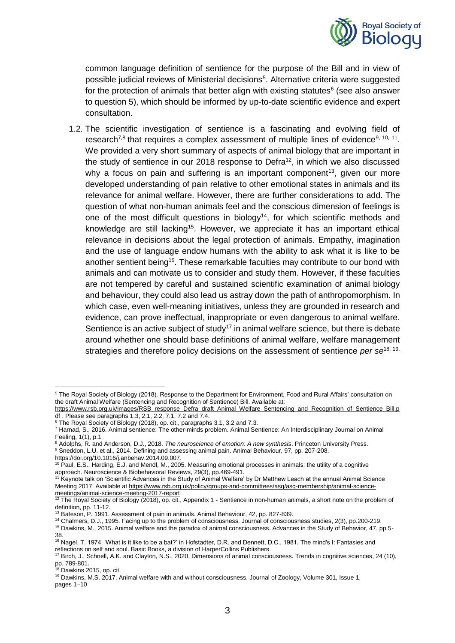

common language definition of sentience for the purpose of the Bill and in view of possible judicial reviews of Ministerial decisions<sup>5</sup>. Alternative criteria were suggested for the protection of animals that better align with existing statutes<sup>6</sup> (see also answer to question 5), which should be informed by up-to-date scientific evidence and expert consultation.

1.2. The scientific investigation of sentience is a fascinating and evolving field of research<sup>7,8</sup> that requires a complex assessment of multiple lines of evidence<sup>9, 10, 11</sup>. We provided a very short summary of aspects of animal biology that are important in the study of sentience in our 2018 response to Defra<sup>12</sup>, in which we also discussed why a focus on pain and suffering is an important component<sup>13</sup>, given our more developed understanding of pain relative to other emotional states in animals and its relevance for animal welfare. However, there are further considerations to add. The question of what non-human animals feel and the conscious dimension of feelings is one of the most difficult questions in biology<sup>14</sup>, for which scientific methods and knowledge are still lacking<sup>15</sup>. However, we appreciate it has an important ethical relevance in decisions about the legal protection of animals. Empathy, imagination and the use of language endow humans with the ability to ask what it is like to be another sentient being<sup>16</sup>. These remarkable faculties may contribute to our bond with animals and can motivate us to consider and study them. However, if these faculties are not tempered by careful and sustained scientific examination of animal biology and behaviour, they could also lead us astray down the path of anthropomorphism. In which case, even well-meaning initiatives, unless they are grounded in research and evidence, can prove ineffectual, inappropriate or even dangerous to animal welfare. Sentience is an active subject of study<sup>17</sup> in animal welfare science, but there is debate around whether one should base definitions of animal welfare, welfare management strategies and therefore policy decisions on the assessment of sentience *per se*18, 19,

<sup>5</sup> The Royal Society of Biology (2018). Response to the Department for Environment, Food and Rural Affairs' consultation on the draft Animal Welfare (Sentencing and Recognition of Sentience) Bill. Available at:

[https://www.rsb.org.uk/images/RSB\\_response\\_Defra\\_draft\\_Animal\\_Welfare\\_Sentencing\\_and\\_Recognition\\_of\\_Sentience\\_Bill.p](https://www.rsb.org.uk/images/RSB_response_Defra_draft_Animal_Welfare_Sentencing_and_Recognition_of_Sentience_Bill.pdf) <u>[df](https://www.rsb.org.uk/images/RSB_response_Defra_draft_Animal_Welfare_Sentencing_and_Recognition_of_Sentience_Bill.pdf)</u> . Please see paragraphs 1.3, 2.1, 2.2, 7.1, 7.2 and 7.4.

<sup>6</sup> The Royal Society of Biology (2018), op. cit., paragraphs 3.1, 3.2 and 7.3.

<sup>7</sup> Harnad, S., 2016. Animal sentience: The other-minds problem. Animal Sentience: An Interdisciplinary Journal on Animal Feeling, 1(1), p.1

<sup>8</sup> Adolphs, R. and Anderson, D.J., 2018. *The neuroscience of emotion: A new synthesis*. Princeton University Press. <sup>9</sup> Sneddon, L.U. et al., 2014. Defining and assessing animal pain. Animal Behaviour, 97, pp. 207-208.

https://doi.org/10.1016/j.anbehav.2014.09.007.

 $10$  Paul, E.S., Harding, E.J. and Mendl, M., 2005. Measuring emotional processes in animals: the utility of a cognitive approach. Neuroscience & Biobehavioral Reviews, 29(3), pp.469-491.

<sup>&</sup>lt;sup>11</sup> Keynote talk on 'Scientific Advances in the Study of Animal Welfare' by Dr Matthew Leach at the annual Animal Science Meeting 2017. Available a[t https://www.rsb.org.uk/policy/groups-and-committees/asg/asg-membership/animal-science](https://www.rsb.org.uk/policy/groups-and-committees/asg/asg-membership/animal-science-meetings/animal-science-meeting-2017-report)[meetings/animal-science-meeting-2017-report](https://www.rsb.org.uk/policy/groups-and-committees/asg/asg-membership/animal-science-meetings/animal-science-meeting-2017-report)

 $12$  The Royal Society of Biology (2018), op. cit., Appendix 1 - Sentience in non-human animals, a short note on the problem of definition, pp. 11-12.

<sup>&</sup>lt;sup>13</sup> Bateson, P. 1991. Assessment of pain in animals. Animal Behaviour, 42, pp. 827-839.

<sup>14</sup> Chalmers, D.J., 1995. Facing up to the problem of consciousness. Journal of consciousness studies, 2(3), pp.200-219. <sup>15</sup> Dawkins, M., 2015. Animal welfare and the paradox of animal consciousness. Advances in the Study of Behavior, 47, pp.5- 38.

 $^{16}$  Nagel, T. 1974. 'What is it like to be a bat?' in Hofstadter, D.R. and Dennett, D.C., 1981. The mind's I: Fantasies and reflections on self and soul. Basic Books, a division of HarperCollins Publishers.

<sup>17</sup> Birch, J., Schnell, A.K. and Clayton, N.S., 2020. Dimensions of animal consciousness. Trends in cognitive sciences, 24 (10), pp. 789-801.

<sup>&</sup>lt;sup>18</sup> Dawkins 2015, op. cit.

<sup>&</sup>lt;sup>19</sup> Dawkins, M.S. 2017. Animal welfare with and without consciousness. Journal of Zoology, Volume 301, Issue 1, pages 1–10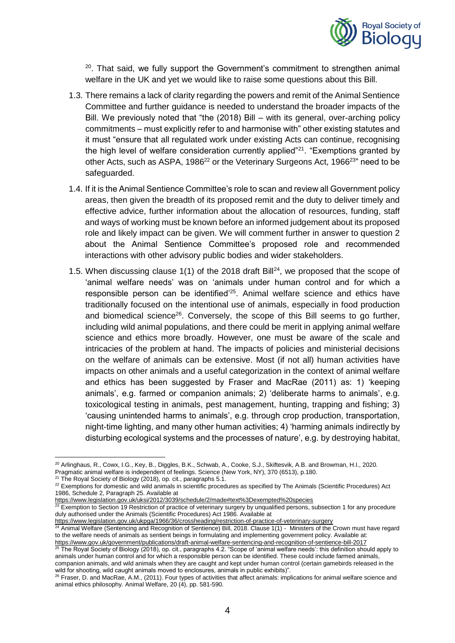

 $20$ . That said, we fully support the Government's commitment to strengthen animal welfare in the UK and yet we would like to raise some questions about this Bill.

- 1.3. There remains a lack of clarity regarding the powers and remit of the Animal Sentience Committee and further guidance is needed to understand the broader impacts of the Bill. We previously noted that "the (2018) Bill – with its general, over-arching policy commitments – must explicitly refer to and harmonise with" other existing statutes and it must "ensure that all regulated work under existing Acts can continue, recognising the high level of welfare consideration currently applied"<sup>21</sup>. "Exemptions granted by other Acts, such as ASPA, 1986<sup>22</sup> or the Veterinary Surgeons Act, 1966<sup>23</sup>" need to be safeguarded.
- 1.4. If it is the Animal Sentience Committee's role to scan and review all Government policy areas, then given the breadth of its proposed remit and the duty to deliver timely and effective advice, further information about the allocation of resources, funding, staff and ways of working must be known before an informed judgement about its proposed role and likely impact can be given. We will comment further in answer to question 2 about the Animal Sentience Committee's proposed role and recommended interactions with other advisory public bodies and wider stakeholders.
- 1.5. When discussing clause  $1(1)$  of the 2018 draft Bill<sup>24</sup>, we proposed that the scope of 'animal welfare needs' was on 'animals under human control and for which a responsible person can be identified'<sup>25</sup>. Animal welfare science and ethics have traditionally focused on the intentional use of animals, especially in food production and biomedical science<sup>26</sup>. Conversely, the scope of this Bill seems to go further, including wild animal populations, and there could be merit in applying animal welfare science and ethics more broadly. However, one must be aware of the scale and intricacies of the problem at hand. The impacts of policies and ministerial decisions on the welfare of animals can be extensive. Most (if not all) human activities have impacts on other animals and a useful categorization in the context of animal welfare and ethics has been suggested by Fraser and MacRae (2011) as: 1) 'keeping animals', e.g. farmed or companion animals; 2) 'deliberate harms to animals', e.g. toxicological testing in animals, pest management, hunting, trapping and fishing; 3) 'causing unintended harms to animals', e.g. through crop production, transportation, night-time lighting, and many other human activities; 4) 'harming animals indirectly by disturbing ecological systems and the processes of nature', e.g. by destroying habitat,

 $\overline{a}$ 

<https://www.legislation.gov.uk/uksi/2012/3039/schedule/2/made#text%3Dexempted%20species>

 $^{25}$  The Royal Society of Biology (2018), op. cit., paragraphs 4.2. "Scope of 'animal welfare needs': this definition should apply to animals under human control and for which a responsible person can be identified. These could include farmed animals, companion animals, and wild animals when they are caught and kept under human control (certain gamebirds released in the

 $^{20}$  Arlinghaus, R., Cowx, I.G., Key, B., Diggles, B.K., Schwab, A., Cooke, S.J., Skiftesvik, A.B. and Browman, H.I., 2020. Pragmatic animal welfare is independent of feelings. Science (New York, NY), 370 (6513), p.180.

<sup>&</sup>lt;sup>21</sup> The Royal Society of Biology (2018), op. cit., paragraphs 5.1.

<sup>&</sup>lt;sup>22</sup> Exemptions for domestic and wild animals in scientific procedures as specified by The Animals (Scientific Procedures) Act 1986, Schedule 2, Paragraph 25. Available at

<sup>&</sup>lt;sup>23</sup> Exemption to Section 19 Restriction of practice of veterinary surgery by unqualified persons, subsection 1 for any procedure duly authorised under the Animals (Scientific Procedures) Act 1986. Available at <https://www.legislation.gov.uk/ukpga/1966/36/crossheading/restriction-of-practice-of-veterinary-surgery>

<sup>&</sup>lt;sup>4</sup> Animal Welfare (Sentencing and Recognition of Sentience) Bill, 2018. Clause 1(1) - Ministers of the Crown must have regard to the welfare needs of animals as sentient beings in formulating and implementing government policy. Available at: <https://www.gov.uk/government/publications/draft-animal-welfare-sentencing-and-recognition-of-sentience-bill-2017>

wild for shooting, wild caught animals moved to enclosures, animals in public exhibits)". <sup>26</sup> Fraser, D. and MacRae, A.M., (2011). Four types of activities that affect animals: implications for animal welfare science and animal ethics philosophy. Animal Welfare, 20 (4), pp. 581-590.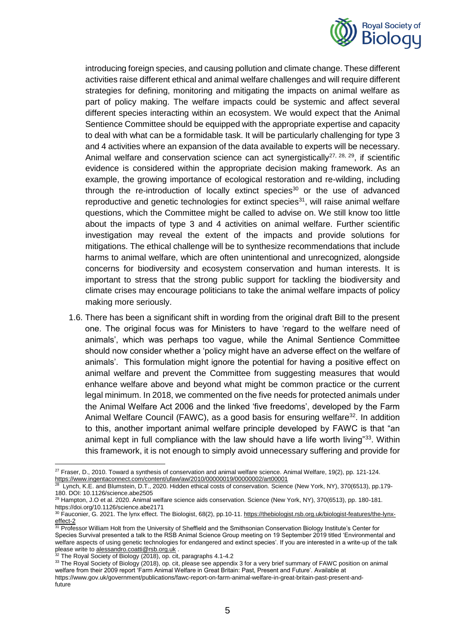

introducing foreign species, and causing pollution and climate change. These different activities raise different ethical and animal welfare challenges and will require different strategies for defining, monitoring and mitigating the impacts on animal welfare as part of policy making. The welfare impacts could be systemic and affect several different species interacting within an ecosystem. We would expect that the Animal Sentience Committee should be equipped with the appropriate expertise and capacity to deal with what can be a formidable task. It will be particularly challenging for type 3 and 4 activities where an expansion of the data available to experts will be necessary. Animal welfare and conservation science can act synergistically<sup>27, 28, 29</sup>, if scientific evidence is considered within the appropriate decision making framework. As an example, the growing importance of ecological restoration and re-wilding, including through the re-introduction of locally extinct species $30$  or the use of advanced reproductive and genetic technologies for extinct species<sup>31</sup>, will raise animal welfare questions, which the Committee might be called to advise on. We still know too little about the impacts of type 3 and 4 activities on animal welfare. Further scientific investigation may reveal the extent of the impacts and provide solutions for mitigations. The ethical challenge will be to synthesize recommendations that include harms to animal welfare, which are often unintentional and unrecognized, alongside concerns for biodiversity and ecosystem conservation and human interests. It is important to stress that the strong public support for tackling the biodiversity and climate crises may encourage politicians to take the animal welfare impacts of policy making more seriously.

1.6. There has been a significant shift in wording from the original draft Bill to the present one. The original focus was for Ministers to have 'regard to the welfare need of animals', which was perhaps too vague, while the Animal Sentience Committee should now consider whether a 'policy might have an adverse effect on the welfare of animals'. This formulation might ignore the potential for having a positive effect on animal welfare and prevent the Committee from suggesting measures that would enhance welfare above and beyond what might be common practice or the current legal minimum. In 2018, we commented on the five needs for protected animals under the Animal Welfare Act 2006 and the linked 'five freedoms', developed by the Farm Animal Welfare Council (FAWC), as a good basis for ensuring welfare<sup>32</sup>. In addition to this, another important animal welfare principle developed by FAWC is that "an animal kept in full compliance with the law should have a life worth living"<sup>33</sup>. Within this framework, it is not enough to simply avoid unnecessary suffering and provide for

 $\overline{a}$  $27$  Fraser, D., 2010. Toward a synthesis of conservation and animal welfare science. Animal Welfare, 19(2), pp. 121-124. <https://www.ingentaconnect.com/content/ufaw/aw/2010/00000019/00000002/art00001>

<sup>&</sup>lt;sup>28</sup> Lynch, K.E. and Blumstein, D.T., 2020. Hidden ethical costs of conservation. Science (New York, NY), 370(6513), pp.179-180. DOI: 10.1126/science.abe2505

<sup>&</sup>lt;sup>29</sup> Hampton, J.O et al. 2020. Animal welfare science aids conservation. Science (New York, NY), 370(6513), pp. 180-181. https://doi.org/10.1126/science.abe2171

<sup>30</sup> Fauconier, G. 2021. The lynx effect. The Biologist, 68(2), pp.10-11. [https://thebiologist.rsb.org.uk/biologist-features/the-lynx](https://thebiologist.rsb.org.uk/biologist-features/the-lynx-effect-2)[effect-2](https://thebiologist.rsb.org.uk/biologist-features/the-lynx-effect-2)

<sup>&</sup>lt;sup>31</sup> Professor William Holt from the University of Sheffield and the Smithsonian Conservation Biology Institute's Center for Species Survival presented a talk to the RSB Animal Science Group meeting on 19 September 2019 titled 'Environmental and welfare aspects of using genetic technologies for endangered and extinct species'. If you are interested in a write-up of the talk please write to [alessandro.coatti@rsb.org.uk](mailto:alessandro.coatti@rsb.org.uk).

 $32$  The Royal Society of Biology (2018), op. cit, paragraphs 4.1-4.2

<sup>33</sup> The Royal Society of Biology (2018), op. cit, please see appendix 3 for a very brief summary of FAWC position on animal welfare from their 2009 report 'Farm Animal Welfare in Great Britain: Past, Present and Future'. Available at https://www.gov.uk/government/publications/fawc-report-on-farm-animal-welfare-in-great-britain-past-present-and-

future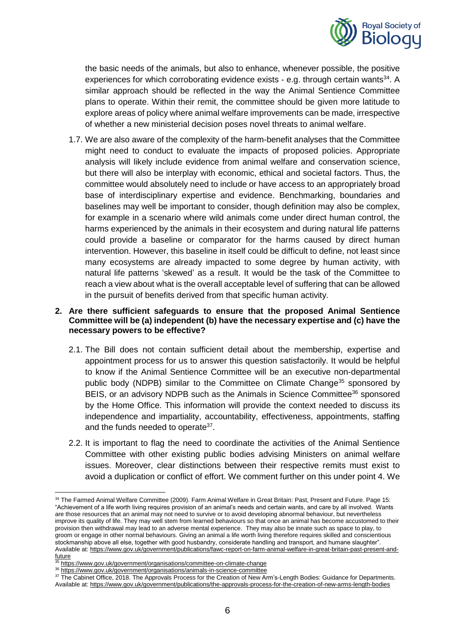

the basic needs of the animals, but also to enhance, whenever possible, the positive experiences for which corroborating evidence exists - e.g. through certain wants $34$ . A similar approach should be reflected in the way the Animal Sentience Committee plans to operate. Within their remit, the committee should be given more latitude to explore areas of policy where animal welfare improvements can be made, irrespective of whether a new ministerial decision poses novel threats to animal welfare.

1.7. We are also aware of the complexity of the harm-benefit analyses that the Committee might need to conduct to evaluate the impacts of proposed policies. Appropriate analysis will likely include evidence from animal welfare and conservation science, but there will also be interplay with economic, ethical and societal factors. Thus, the committee would absolutely need to include or have access to an appropriately broad base of interdisciplinary expertise and evidence. Benchmarking, boundaries and baselines may well be important to consider, though definition may also be complex, for example in a scenario where wild animals come under direct human control, the harms experienced by the animals in their ecosystem and during natural life patterns could provide a baseline or comparator for the harms caused by direct human intervention. However, this baseline in itself could be difficult to define, not least since many ecosystems are already impacted to some degree by human activity, with natural life patterns 'skewed' as a result. It would be the task of the Committee to reach a view about what is the overall acceptable level of suffering that can be allowed in the pursuit of benefits derived from that specific human activity.

### **2. Are there sufficient safeguards to ensure that the proposed Animal Sentience Committee will be (a) independent (b) have the necessary expertise and (c) have the necessary powers to be effective?**

- 2.1. The Bill does not contain sufficient detail about the membership, expertise and appointment process for us to answer this question satisfactorily. It would be helpful to know if the Animal Sentience Committee will be an executive non-departmental public body (NDPB) similar to the Committee on Climate Change<sup>35</sup> sponsored by BEIS, or an advisory NDPB such as the Animals in Science Committee<sup>36</sup> sponsored by the Home Office. This information will provide the context needed to discuss its independence and impartiality, accountability, effectiveness, appointments, staffing and the funds needed to operate<sup>37</sup>.
- 2.2. It is important to flag the need to coordinate the activities of the Animal Sentience Committee with other existing public bodies advising Ministers on animal welfare issues. Moreover, clear distinctions between their respective remits must exist to avoid a duplication or conflict of effort. We comment further on this under point 4. We

 $\overline{a}$ <sup>34</sup> The Farmed Animal Welfare Committee (2009). Farm Animal Welfare in Great Britain: Past, Present and Future. Page 15: "Achievement of a life worth living requires provision of an animal's needs and certain wants, and care by all involved. Wants are those resources that an animal may not need to survive or to avoid developing abnormal behaviour, but nevertheless improve its quality of life. They may well stem from learned behaviours so that once an animal has become accustomed to their provision then withdrawal may lead to an adverse mental experience. They may also be innate such as space to play, to groom or engage in other normal behaviours. Giving an animal a life worth living therefore requires skilled and conscientious stockmanship above all else, together with good husbandry, considerate handling and transport, and humane slaughter". Available at: [https://www.gov.uk/government/publications/fawc-report-on-farm-animal-welfare-in-great-britain-past-present-and](https://www.gov.uk/government/publications/fawc-report-on-farm-animal-welfare-in-great-britain-past-present-and-future)[future](https://www.gov.uk/government/publications/fawc-report-on-farm-animal-welfare-in-great-britain-past-present-and-future)

<sup>35</sup> <https://www.gov.uk/government/organisations/committee-on-climate-change>

<sup>36</sup> <https://www.gov.uk/government/organisations/animals-in-science-committee>

<sup>37</sup> The Cabinet Office, 2018. The Approvals Process for the Creation of New Arm's-Length Bodies: Guidance for Departments. Available at:<https://www.gov.uk/government/publications/the-approvals-process-for-the-creation-of-new-arms-length-bodies>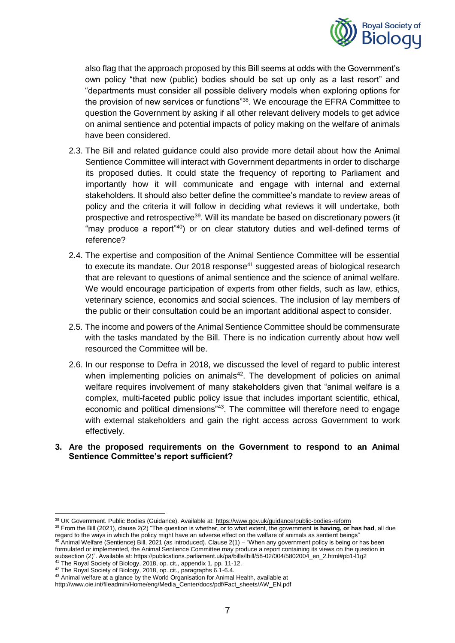

also flag that the approach proposed by this Bill seems at odds with the Government's own policy "that new (public) bodies should be set up only as a last resort" and "departments must consider all possible delivery models when exploring options for the provision of new services or functions"<sup>38</sup>. We encourage the EFRA Committee to question the Government by asking if all other relevant delivery models to get advice on animal sentience and potential impacts of policy making on the welfare of animals have been considered.

- 2.3. The Bill and related guidance could also provide more detail about how the Animal Sentience Committee will interact with Government departments in order to discharge its proposed duties. It could state the frequency of reporting to Parliament and importantly how it will communicate and engage with internal and external stakeholders. It should also better define the committee's mandate to review areas of policy and the criteria it will follow in deciding what reviews it will undertake, both prospective and retrospective<sup>39</sup>. Will its mandate be based on discretionary powers (it "may produce a report"<sup>40</sup>) or on clear statutory duties and well-defined terms of reference?
- 2.4. The expertise and composition of the Animal Sentience Committee will be essential to execute its mandate. Our 2018 response<sup>41</sup> suggested areas of biological research that are relevant to questions of animal sentience and the science of animal welfare. We would encourage participation of experts from other fields, such as law, ethics, veterinary science, economics and social sciences. The inclusion of lay members of the public or their consultation could be an important additional aspect to consider.
- 2.5. The income and powers of the Animal Sentience Committee should be commensurate with the tasks mandated by the Bill. There is no indication currently about how well resourced the Committee will be.
- 2.6. In our response to Defra in 2018, we discussed the level of regard to public interest when implementing policies on animals $42$ . The development of policies on animal welfare requires involvement of many stakeholders given that "animal welfare is a complex, multi-faceted public policy issue that includes important scientific, ethical, economic and political dimensions<sup>"43</sup>. The committee will therefore need to engage with external stakeholders and gain the right access across Government to work effectively.
- **3. Are the proposed requirements on the Government to respond to an Animal Sentience Committee's report sufficient?**

formulated or implemented, the Animal Sentience Committee may produce a report containing its views on the question in subsection (2)". Available at: https://publications.parliament.uk/pa/bills/lbill/58-02/004/5802004\_en\_2.html#pb1-l1g2 <sup>41</sup> The Royal Society of Biology, 2018, op. cit., appendix 1, pp. 11-12.

<sup>42</sup> The Royal Society of Biology, 2018, op. cit., paragraphs 6.1-6.4.

<sup>&</sup>lt;sup>38</sup> UK Government. Public Bodies (Guidance). Available at:<https://www.gov.uk/guidance/public-bodies-reform>

<sup>&</sup>lt;sup>39</sup> From the Bill (2021), clause 2(2) "The question is whether, or to what extent, the government **is having, or has had**, all due regard to the ways in which the policy might have an adverse effect on the welfare of animals as sentient beings"  $40$  Animal Welfare (Sentience) Bill, 2021 (as introduced). Clause  $2(1)$  – "When any government policy is being or has been

<sup>43</sup> Animal welfare at a glance by the World Organisation for Animal Health, available at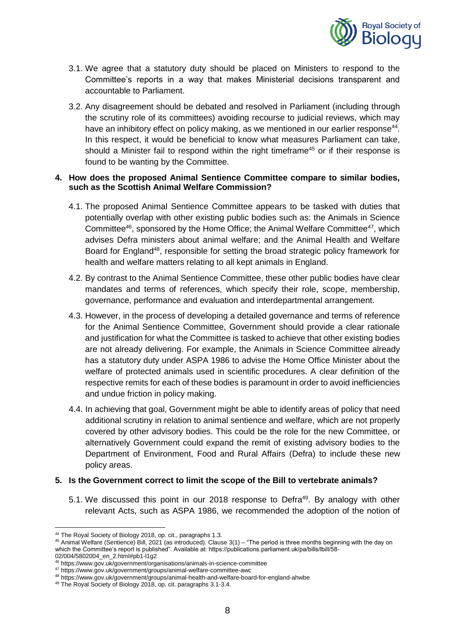

- 3.1. We agree that a statutory duty should be placed on Ministers to respond to the Committee's reports in a way that makes Ministerial decisions transparent and accountable to Parliament.
- 3.2. Any disagreement should be debated and resolved in Parliament (including through the scrutiny role of its committees) avoiding recourse to judicial reviews, which may have an inhibitory effect on policy making, as we mentioned in our earlier response<sup>44</sup>. In this respect, it would be beneficial to know what measures Parliament can take, should a Minister fail to respond within the right timeframe<sup>45</sup> or if their response is found to be wanting by the Committee.

#### **4. How does the proposed Animal Sentience Committee compare to similar bodies, such as the Scottish Animal Welfare Commission?**

- 4.1. The proposed Animal Sentience Committee appears to be tasked with duties that potentially overlap with other existing public bodies such as: the Animals in Science Committee<sup>46</sup>, sponsored by the Home Office; the Animal Welfare Committee<sup>47</sup>, which advises Defra ministers about animal welfare; and the Animal Health and Welfare Board for England<sup>48</sup>, responsible for setting the broad strategic policy framework for health and welfare matters relating to all kept animals in England.
- 4.2. By contrast to the Animal Sentience Committee, these other public bodies have clear mandates and terms of references, which specify their role, scope, membership, governance, performance and evaluation and interdepartmental arrangement.
- 4.3. However, in the process of developing a detailed governance and terms of reference for the Animal Sentience Committee, Government should provide a clear rationale and justification for what the Committee is tasked to achieve that other existing bodies are not already delivering. For example, the Animals in Science Committee already has a statutory duty under ASPA 1986 to advise the Home Office Minister about the welfare of protected animals used in scientific procedures. A clear definition of the respective remits for each of these bodies is paramount in order to avoid inefficiencies and undue friction in policy making.
- 4.4. In achieving that goal, Government might be able to identify areas of policy that need additional scrutiny in relation to animal sentience and welfare, which are not properly covered by other advisory bodies. This could be the role for the new Committee, or alternatively Government could expand the remit of existing advisory bodies to the Department of Environment, Food and Rural Affairs (Defra) to include these new policy areas.

#### **5. Is the Government correct to limit the scope of the Bill to vertebrate animals?**

5.1. We discussed this point in our 2018 response to Defra<sup>49</sup>. By analogy with other relevant Acts, such as ASPA 1986, we recommended the adoption of the notion of

<sup>44</sup> The Royal Society of Biology 2018, op. cit., paragraphs 1.3.

<sup>45</sup> Animal Welfare (Sentience) Bill, 2021 (as introduced). Clause 3(1) – "The period is three months beginning with the day on which the Committee's report is published". Available at: https://publications.parliament.uk/pa/bills/lbill/58-02/004/5802004\_en\_2.html#pb1-l1g2

<sup>46</sup> https://www.gov.uk/government/organisations/animals-in-science-committee

<sup>47</sup> https://www.gov.uk/government/groups/animal-welfare-committee-awc

<sup>48</sup> https://www.gov.uk/government/groups/animal-health-and-welfare-board-for-england-ahwbe

<sup>49</sup> The Royal Society of Biology 2018, op. cit. paragraphs 3.1-3.4.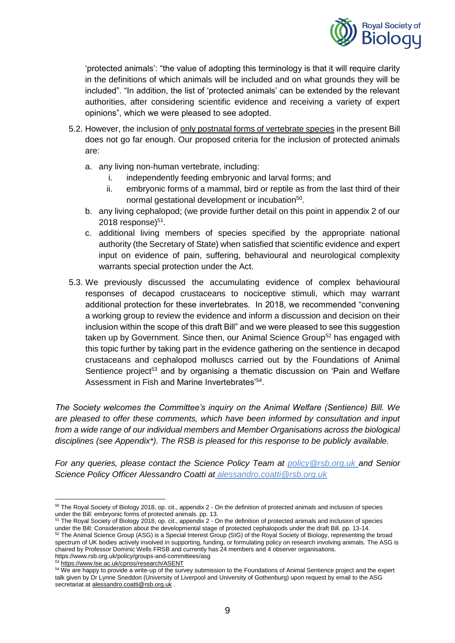

'protected animals': "the value of adopting this terminology is that it will require clarity in the definitions of which animals will be included and on what grounds they will be included". "In addition, the list of 'protected animals' can be extended by the relevant authorities, after considering scientific evidence and receiving a variety of expert opinions", which we were pleased to see adopted.

- 5.2. However, the inclusion of only postnatal forms of vertebrate species in the present Bill does not go far enough. Our proposed criteria for the inclusion of protected animals are:
	- a. any living non-human vertebrate, including:
		- i. independently feeding embryonic and larval forms; and
		- ii. embryonic forms of a mammal, bird or reptile as from the last third of their normal gestational development or incubation<sup>50</sup>.
	- b. any living cephalopod; (we provide further detail on this point in appendix 2 of our 2018 response)<sup>51</sup>.
	- c. additional living members of species specified by the appropriate national authority (the Secretary of State) when satisfied that scientific evidence and expert input on evidence of pain, suffering, behavioural and neurological complexity warrants special protection under the Act.
- 5.3. We previously discussed the accumulating evidence of complex behavioural responses of decapod crustaceans to nociceptive stimuli, which may warrant additional protection for these invertebrates. In 2018, we recommended "convening a working group to review the evidence and inform a discussion and decision on their inclusion within the scope of this draft Bill" and we were pleased to see this suggestion taken up by Government. Since then, our Animal Science Group<sup>52</sup> has engaged with this topic further by taking part in the evidence gathering on the sentience in decapod crustaceans and cephalopod molluscs carried out by the Foundations of Animal Sentience project<sup>53</sup> and by organising a thematic discussion on 'Pain and Welfare Assessment in Fish and Marine Invertebrates'<sup>54</sup>.

*The Society welcomes the Committee's inquiry on the Animal Welfare (Sentience) Bill. We are pleased to offer these comments, which have been informed by consultation and input from a wide range of our individual members and Member Organisations across the biological*  disciplines (see Appendix<sup>\*</sup>). The RSB is pleased for this response to be *publicly available*.

*For any queries, please contact the Science Policy Team at [policy@rsb.org.uk](mailto:policy@rsb.org.uk) and Senior Science Policy Officer Alessandro Coatti at alessandro.coatti@rsb.org.uk*

<sup>53</sup> <https://www.lse.ac.uk/cpnss/research/ASENT>

<sup>&</sup>lt;sup>50</sup> The Royal Society of Biology 2018, op. cit., appendix 2 - On the definition of protected animals and inclusion of species under the Bill: embryonic forms of protected animals. pp. 13.

<sup>&</sup>lt;sup>51</sup> The Royal Society of Biology 2018, op. cit., appendix 2 - On the definition of protected animals and inclusion of species under the Bill: Consideration about the developmental stage of protected cephalopods under the draft Bill. pp. 13-14.  $52$  The Animal Science Group (ASG) is a Special Interest Group (SIG) of the Royal Society of Biology, representing the broad spectrum of UK bodies actively involved in supporting, funding, or formulating policy on research involving animals. The ASG is chaired by Professor Dominic Wells FRSB and currently has 24 members and 4 observer organisations. https://www.rsb.org.uk/policy/groups-and-committees/asg

<sup>&</sup>lt;sup>54</sup> We are happy to provide a write-up of the survey submission to the Foundations of Animal Sentience project and the expert talk given by Dr Lynne Sneddon (University of Liverpool and University of Gothenburg) upon request by email to the ASG secretariat a[t alessandro.coatti@rsb.org.uk](mailto:alessandro.coatti@rsb.org.uk).